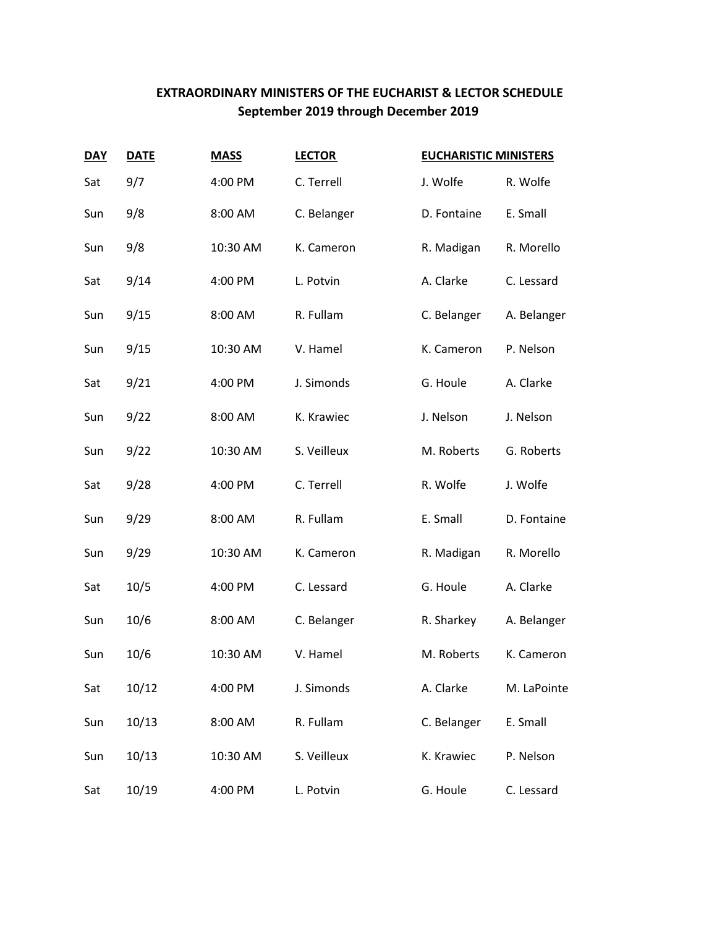## **EXTRAORDINARY MINISTERS OF THE EUCHARIST & LECTOR SCHEDULE September 2019 through December 2019**

| <b>DAY</b> | <b>DATE</b> | <b>MASS</b> | <b>LECTOR</b> | <b>EUCHARISTIC MINISTERS</b> |             |
|------------|-------------|-------------|---------------|------------------------------|-------------|
| Sat        | 9/7         | 4:00 PM     | C. Terrell    | J. Wolfe                     | R. Wolfe    |
| Sun        | 9/8         | 8:00 AM     | C. Belanger   | D. Fontaine                  | E. Small    |
| Sun        | 9/8         | 10:30 AM    | K. Cameron    | R. Madigan                   | R. Morello  |
| Sat        | 9/14        | 4:00 PM     | L. Potvin     | A. Clarke                    | C. Lessard  |
| Sun        | 9/15        | 8:00 AM     | R. Fullam     | C. Belanger                  | A. Belanger |
| Sun        | 9/15        | 10:30 AM    | V. Hamel      | K. Cameron                   | P. Nelson   |
| Sat        | 9/21        | 4:00 PM     | J. Simonds    | G. Houle                     | A. Clarke   |
| Sun        | 9/22        | 8:00 AM     | K. Krawiec    | J. Nelson                    | J. Nelson   |
| Sun        | 9/22        | 10:30 AM    | S. Veilleux   | M. Roberts                   | G. Roberts  |
| Sat        | 9/28        | 4:00 PM     | C. Terrell    | R. Wolfe                     | J. Wolfe    |
| Sun        | 9/29        | 8:00 AM     | R. Fullam     | E. Small                     | D. Fontaine |
| Sun        | 9/29        | 10:30 AM    | K. Cameron    | R. Madigan                   | R. Morello  |
| Sat        | 10/5        | 4:00 PM     | C. Lessard    | G. Houle                     | A. Clarke   |
| Sun        | 10/6        | 8:00 AM     | C. Belanger   | R. Sharkey                   | A. Belanger |
| Sun        | 10/6        | 10:30 AM    | V. Hamel      | M. Roberts                   | K. Cameron  |
| Sat        | 10/12       | 4:00 PM     | J. Simonds    | A. Clarke                    | M. LaPointe |
| Sun        | 10/13       | 8:00 AM     | R. Fullam     | C. Belanger                  | E. Small    |
| Sun        | 10/13       | 10:30 AM    | S. Veilleux   | K. Krawiec                   | P. Nelson   |
| Sat        | 10/19       | 4:00 PM     | L. Potvin     | G. Houle                     | C. Lessard  |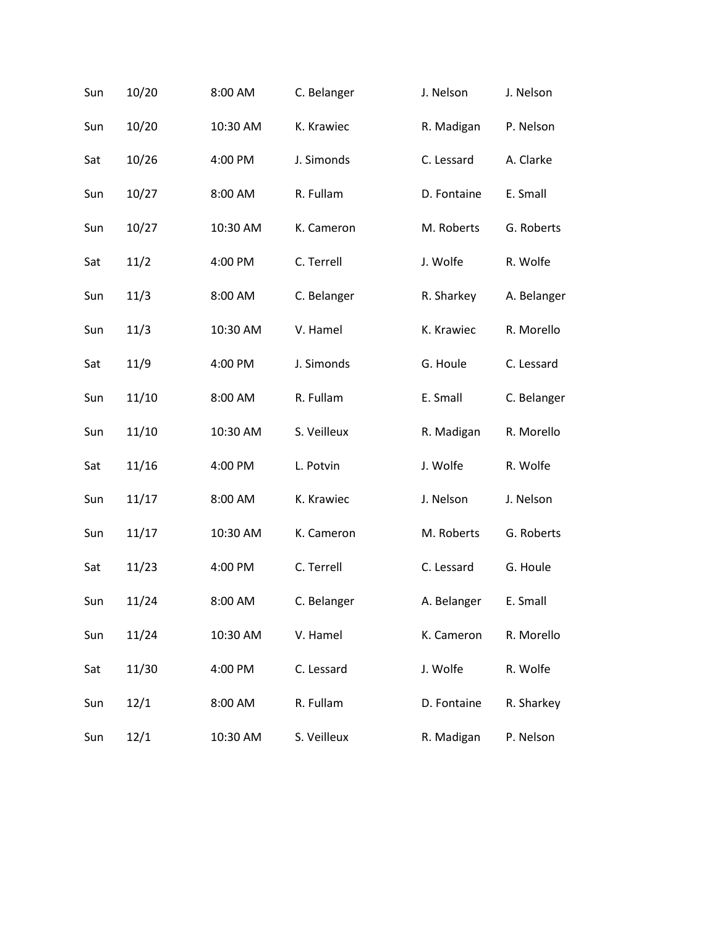| Sun | 10/20 | 8:00 AM  | C. Belanger | J. Nelson   | J. Nelson   |
|-----|-------|----------|-------------|-------------|-------------|
| Sun | 10/20 | 10:30 AM | K. Krawiec  | R. Madigan  | P. Nelson   |
| Sat | 10/26 | 4:00 PM  | J. Simonds  | C. Lessard  | A. Clarke   |
| Sun | 10/27 | 8:00 AM  | R. Fullam   | D. Fontaine | E. Small    |
| Sun | 10/27 | 10:30 AM | K. Cameron  | M. Roberts  | G. Roberts  |
| Sat | 11/2  | 4:00 PM  | C. Terrell  | J. Wolfe    | R. Wolfe    |
| Sun | 11/3  | 8:00 AM  | C. Belanger | R. Sharkey  | A. Belanger |
| Sun | 11/3  | 10:30 AM | V. Hamel    | K. Krawiec  | R. Morello  |
| Sat | 11/9  | 4:00 PM  | J. Simonds  | G. Houle    | C. Lessard  |
| Sun | 11/10 | 8:00 AM  | R. Fullam   | E. Small    | C. Belanger |
| Sun | 11/10 | 10:30 AM | S. Veilleux | R. Madigan  | R. Morello  |
| Sat | 11/16 | 4:00 PM  | L. Potvin   | J. Wolfe    | R. Wolfe    |
| Sun | 11/17 | 8:00 AM  | K. Krawiec  | J. Nelson   | J. Nelson   |
| Sun | 11/17 | 10:30 AM | K. Cameron  | M. Roberts  | G. Roberts  |
| Sat | 11/23 | 4:00 PM  | C. Terrell  | C. Lessard  | G. Houle    |
| Sun | 11/24 | 8:00 AM  | C. Belanger | A. Belanger | E. Small    |
| Sun | 11/24 | 10:30 AM | V. Hamel    | K. Cameron  | R. Morello  |
| Sat | 11/30 | 4:00 PM  | C. Lessard  | J. Wolfe    | R. Wolfe    |
| Sun | 12/1  | 8:00 AM  | R. Fullam   | D. Fontaine | R. Sharkey  |
| Sun | 12/1  | 10:30 AM | S. Veilleux | R. Madigan  | P. Nelson   |